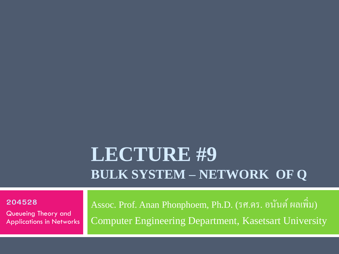#### **LECTURE #9 BULK SYSTEM – NETWORK OF Q**

**204528**

Queueing Theory and Applications in Networks

Assoc. Prof. Anan Phonphoem, Ph.D. (รศ.คร. อนันต์ ผลเพิ่ม) Computer Engineering Department, Kasetsart University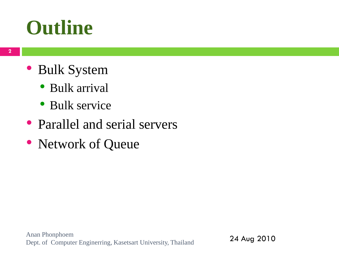#### **Outline**

- Bulk System
	- Bulk arrival
	- Bulk service
- Parallel and serial servers
- Network of Queue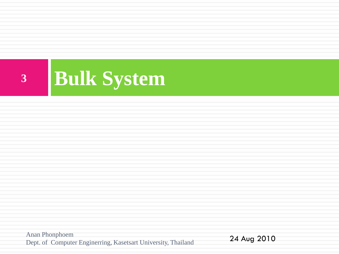

Anan Phonphoem Dept. of Computer Enginerring, Kasetsart University, Thailand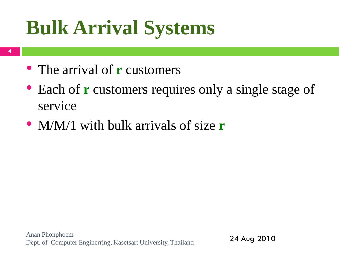## **Bulk Arrival Systems**

- **4**
- The arrival of **r** customers
- Each of **r** customers requires only a single stage of service
- M/M/1 with bulk arrivals of size **r**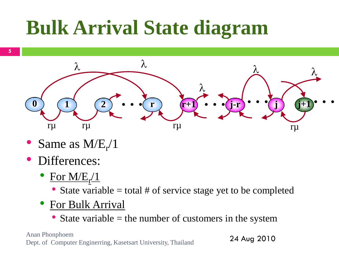## **Bulk Arrival State diagram**



- Same as  $M/E_r/1$
- Differences:
	- For  $M/E_{r}/1$ 
		- State variable  $=$  total  $#$  of service stage yet to be completed
	- **For Bulk Arrival** 
		- State variable  $=$  the number of customers in the system

Anan Phonphoem Dept. of Computer Enginerring, Kasetsart University, Thailand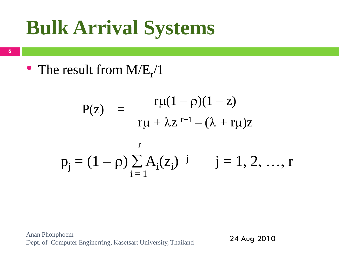## **Bulk Arrival Systems**

**6**

• The result from  $M/E_r/1$ 

$$
P(z) = \frac{r\mu(1-\rho)(1-z)}{r\mu + \lambda z^{r+1} - (\lambda + r\mu)z}
$$
  

$$
p_j = (1 - \rho) \sum_{i=1}^{r} A_i(z_i)^{-j} \qquad j = 1, 2, ..., r
$$

Anan Phonphoem Dept. of Computer Enginerring, Kasetsart University, Thailand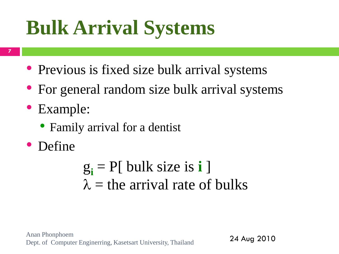## **Bulk Arrival Systems**

- **7**
- Previous is fixed size bulk arrival systems
- For general random size bulk arrival systems
- Example:
	- Family arrival for a dentist
- Define

 $g_i$  = P[ bulk size is **i** ]  $\lambda$  = the arrival rate of bulks

Anan Phonphoem Dept. of Computer Enginerring, Kasetsart University, Thailand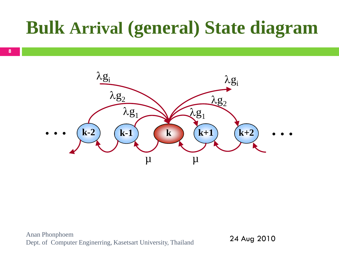#### **Bulk Arrival (general) State diagram**

**8**

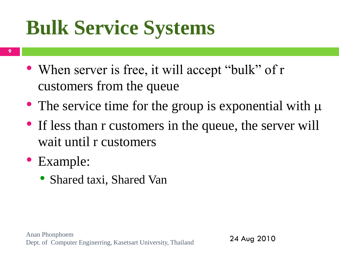## **Bulk Service Systems**

- **9**
- When server is free, it will accept "bulk" of r customers from the queue
- The service time for the group is exponential with  $\mu$
- If less than r customers in the queue, the server will wait until r customers
- Example:
	- Shared taxi, Shared Van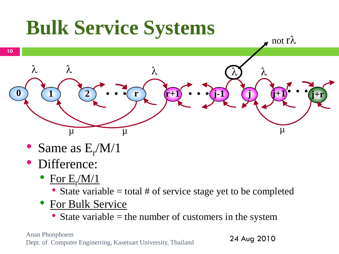

- Same as  $E_r/M/1$
- Difference:
	- For  $E_f/M/1$ 
		- State variable  $=$  total  $#$  of service stage yet to be completed
	- For Bulk Service
		- State variable  $=$  the number of customers in the system

Anan Phonphoem Dept. of Computer Enginerring, Kasetsart University, Thailand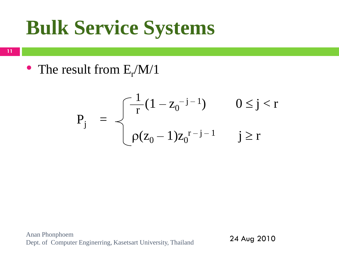## **Bulk Service Systems**

**11**

• The result from  $E_r/M/1$ 

$$
P_j = \begin{cases} \frac{1}{r}(1 - z_0^{-j-1}) & 0 \le j < r \\ \rho(z_0 - 1)z_0^{r-j-1} & j \ge r \end{cases}
$$

Anan Phonphoem Dept. of Computer Enginerring, Kasetsart University, Thailand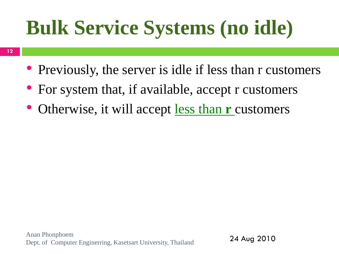## **Bulk Service Systems (no idle)**

- Previously, the server is idle if less than r customers
- For system that, if available, accept r customers
- Otherwise, it will accept less than **r** customers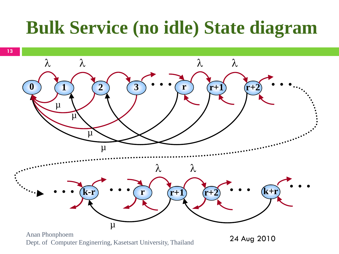#### **Bulk Service (no idle) State diagram**



Anan Phonphoem Dept. of Computer Enginerring, Kasetsart University, Thailand

<sup>24</sup> Aug 2010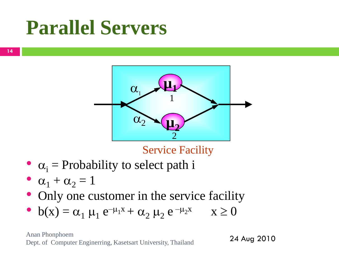#### **Parallel Servers**



#### Service Facility

- $\alpha_i$  = Probability to select path i
- $\alpha_1 + \alpha_2 = 1$
- Only one customer in the service facility
- $b(x) = \alpha_1 \mu_1 e^{-\mu_1 x} + \alpha_2 \mu_2 e^{-\mu_2 x}$   $x \ge 0$

Anan Phonphoem Dept. of Computer Enginerring, Kasetsart University, Thailand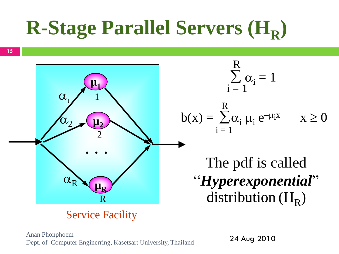# **R-Stage Parallel Servers (H<sup>R</sup> )**

**15**



#### Service Facility

Anan Phonphoem Dept. of Computer Enginerring, Kasetsart University, Thailand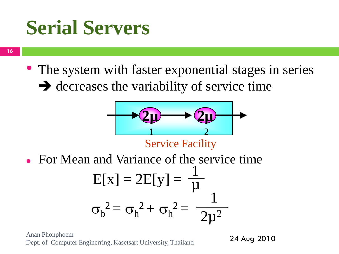#### **Serial Servers**

**16**

• The system with faster exponential stages in series  $\rightarrow$  decreases the variability of service time



Service Facility

For Mean and Variance of the service time

$$
E[x] = 2E[y] = \frac{1}{\mu}
$$

$$
\sigma_b^2 = \sigma_h^2 + \sigma_h^2 = \frac{1}{2\mu^2}
$$

Anan Phonphoem Dept. of Computer Enginerring, Kasetsart University, Thailand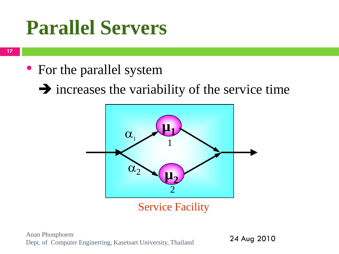#### **Parallel Servers**

**17**

- For the parallel system
	- $\rightarrow$  increases the variability of the service time



Service Facility

Anan Phonphoem Dept. of Computer Enginerring, Kasetsart University, Thailand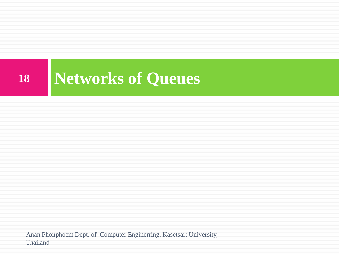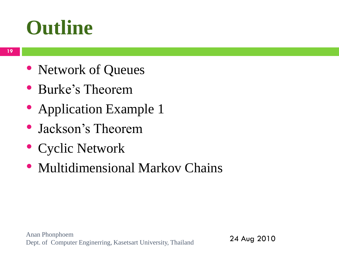#### **Outline**

- Network of Queues
- Burke's Theorem
- Application Example 1
- Jackson's Theorem
- Cyclic Network
- Multidimensional Markov Chains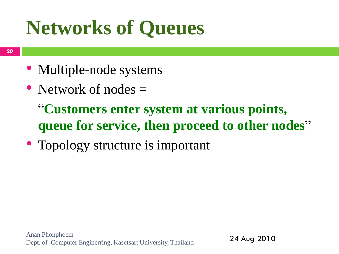## **Networks of Queues**

- Multiple-node systems
- Network of nodes  $=$

"**Customers enter system at various points, queue for service, then proceed to other nodes**"

• Topology structure is important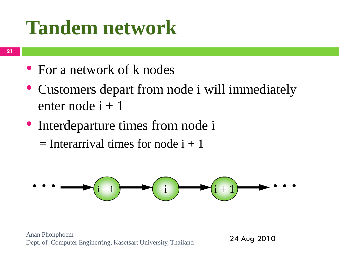### **Tandem network**

- For a network of k nodes
- Customers depart from node i will immediately enter node  $i + 1$
- Interdeparture times from node i  $=$  Interarrival times for node  $i + 1$



Anan Phonphoem Dept. of Computer Enginerring, Kasetsart University, Thailand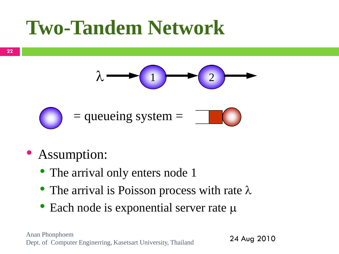



#### • Assumption:

- The arrival only enters node 1
- The arrival is Poisson process with rate  $\lambda$
- Each node is exponential server rate  $\mu$

Anan Phonphoem Dept. of Computer Enginerring, Kasetsart University, Thailand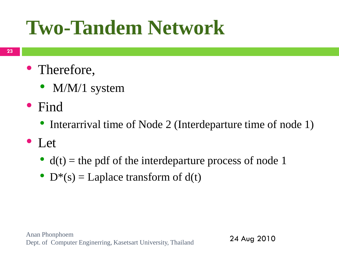- Therefore,
	- M/M/1 system
- Find
	- Interarrival time of Node 2 (Interdeparture time of node 1)
- Let
	- $d(t)$  = the pdf of the interdeparture process of node 1
	- $D^*(s) = Laplace$  transform of  $d(t)$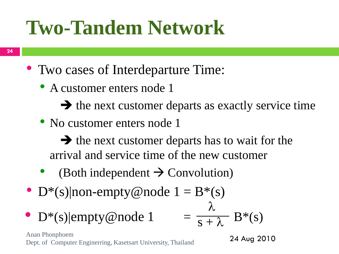- Two cases of Interdeparture Time:
	- A customer enters node 1
		- $\rightarrow$  the next customer departs as exactly service time
	- No customer enters node 1

 $\rightarrow$  the next customer departs has to wait for the arrival and service time of the new customer

- (Both independent  $\rightarrow$  Convolution)
- $D^*(s)$ |non-empty@node  $1 = B^*(s)$
- $D^*(s)$ |empty@node 1  $\lambda$  $\overline{s + \lambda}$

Anan Phonphoem Dept. of Computer Enginerring, Kasetsart University, Thailand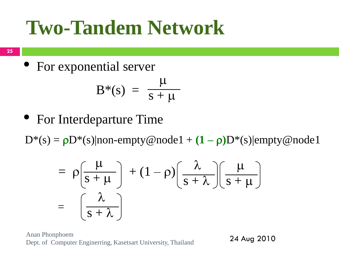**25**

• For exponential server

$$
B^*(s) = \frac{\mu}{s + \mu}
$$

• For Interdeparture Time

 $D^*(s) = \rho D^*(s)$ |non-empty@node1 +  $(1 - \rho)D^*(s)$ |empty@node1

$$
= \rho \left(\frac{\mu}{s+\mu}\right) + (1-\rho) \left(\frac{\lambda}{s+\lambda}\right) \left(\frac{\mu}{s+\mu}\right)
$$

$$
= \left(\frac{\lambda}{s+\lambda}\right)
$$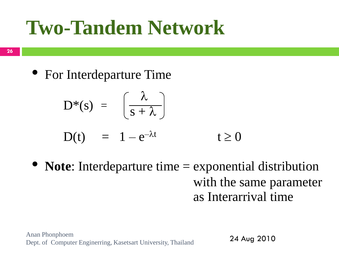• For Interdeparture Time

$$
D^*(s) = \left(\frac{\lambda}{s+\lambda}\right)
$$

$$
D(t) = 1 - e^{-\lambda t} \qquad \qquad t \ge 0
$$

• **Note**: Interdeparture time = exponential distribution with the same parameter as Interarrival time

Anan Phonphoem Dept. of Computer Enginerring, Kasetsart University, Thailand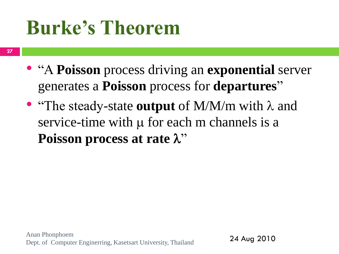## **Burke's Theorem**

- "A **Poisson** process driving an **exponential** server generates a **Poisson** process for **departures**"
- "The steady-state **output** of M/M/m with  $\lambda$  and service-time with  $\mu$  for each m channels is a **Poisson process at rate**  $\lambda$ **"**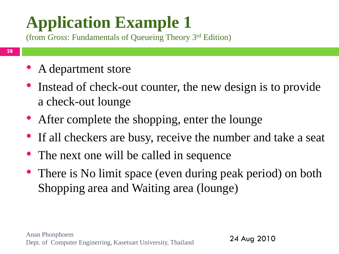(from *Gross*: Fundamentals of Queueing Theory 3 rd Edition)

- **28**
- A department store
- Instead of check-out counter, the new design is to provide a check-out lounge
- After complete the shopping, enter the lounge
- If all checkers are busy, receive the number and take a seat
- The next one will be called in sequence
- There is No limit space (even during peak period) on both Shopping area and Waiting area (lounge)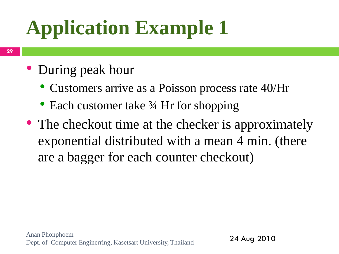#### • During peak hour

- Customers arrive as a Poisson process rate 40/Hr
- Each customer take 3⁄4 Hr for shopping
- The checkout time at the checker is approximately exponential distributed with a mean 4 min. (there are a bagger for each counter checkout)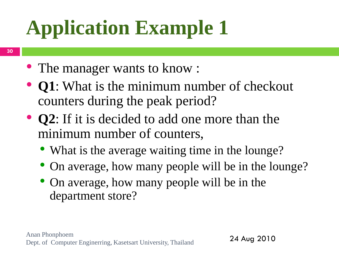- The manager wants to know :
- **Q1**: What is the minimum number of checkout counters during the peak period?
- **Q2**: If it is decided to add one more than the minimum number of counters,
	- What is the average waiting time in the lounge?
	- On average, how many people will be in the lounge?
	- On average, how many people will be in the department store?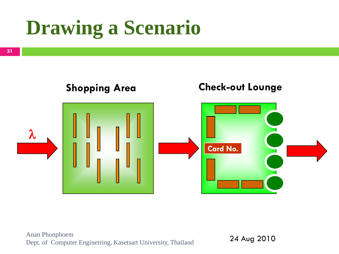## **Drawing a Scenario**

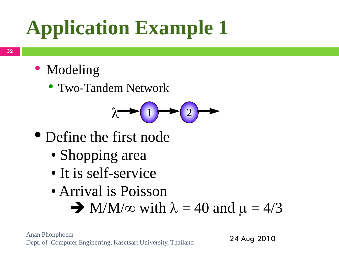- Modeling
	- Two-Tandem Network



- Define the first node
	- Shopping area
	- It is self-service
	- Arrival is Poisson  $\rightarrow$  M/M/ $\infty$  with  $\lambda = 40$  and  $\mu = 4/3$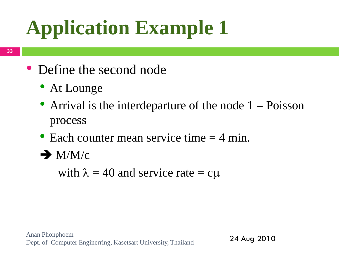- Define the second node
	- At Lounge
	- Arrival is the interdeparture of the node  $1 = Poisson$ process
	- Each counter mean service time  $=$  4 min.
	- $\rightarrow$  M/M/c

with  $\lambda = 40$  and service rate  $= c\mu$ 

Anan Phonphoem Dept. of Computer Enginerring, Kasetsart University, Thailand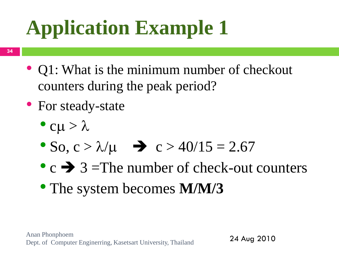- Q1: What is the minimum number of checkout counters during the peak period?
- For steady-state
	- $c\mu > \lambda$
	- So,  $c > \lambda/\mu$   $\rightarrow$   $c > 40/15 = 2.67$
	- $c \rightarrow 3$  = The number of check-out counters
	- The system becomes **M/M/3**

Anan Phonphoem Dept. of Computer Enginerring, Kasetsart University, Thailand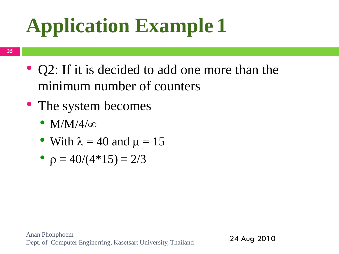- Q2: If it is decided to add one more than the minimum number of counters
- The system becomes
	- $M/M/4/\infty$
	- With  $\lambda = 40$  and  $\mu = 15$
	- $\rho = 40/(4*15) = 2/3$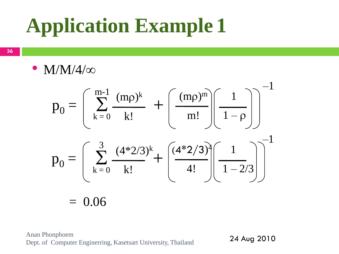**36**

•  $M/M/4/\infty$ 

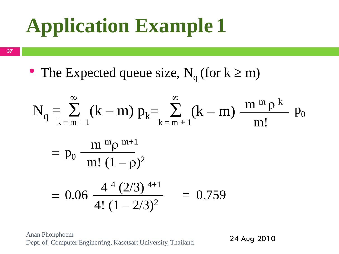**37**

• The Expected queue size,  $N_q$  (for  $k \ge m$ )

$$
N_q = \sum_{k=m+1}^{\infty} (k-m) p_k = \sum_{k=m+1}^{\infty} (k-m) \frac{m^m \rho^k}{m!}
$$
  
=  $p_0 \frac{m^m \rho^{m+1}}{m! (1-\rho)^2}$   
= 0.06  $\frac{4^4 (2/3)^{4+1}}{4! (1-2/3)^2}$  = 0.759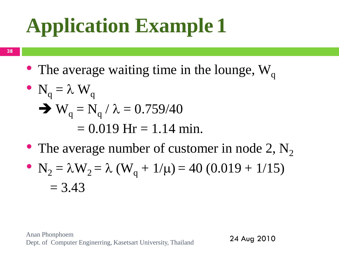**38**

• The average waiting time in the lounge,  $W_q$ 

• 
$$
N_q = \lambda W_q
$$
  
\n•  $W_q = N_q / \lambda = 0.759/40$   
\n= 0.019 Hr = 1.14 min.

• The average number of customer in node 2,  $N_2$ 

• 
$$
N_2 = \lambda W_2 = \lambda (W_q + 1/\mu) = 40 (0.019 + 1/15)
$$
  
= 3.43

Anan Phonphoem Dept. of Computer Enginerring, Kasetsart University, Thailand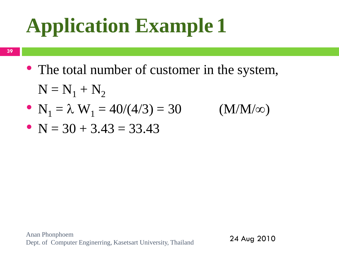**39**

• The total number of customer in the system,

$$
N = N1 + N2
$$
  
\n• N<sub>1</sub> =  $\lambda$  W<sub>1</sub> = 40/(4/3) = 30 (M/M/\infty)  
\n• N = 30 + 3.43 = 33.43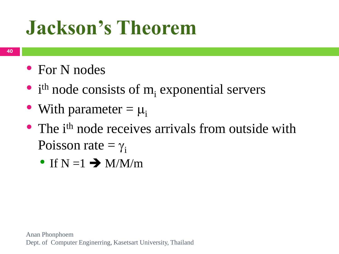- For N nodes
- $\bullet$  i<sup>th</sup> node consists of m<sub>i</sub> exponential servers
- With parameter  $= \mu_i$
- The i<sup>th</sup> node receives arrivals from outside with Poisson rate  $= \gamma_i$ 
	- If  $N = 1 \rightarrow M/M/m$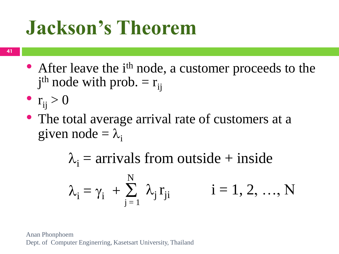- After leave the i<sup>th</sup> node, a customer proceeds to the  $j<sup>th</sup>$  node with prob. =  $r_{ij}$
- $r_{ii} > 0$
- The total average arrival rate of customers at a given node  $= \lambda_i$

 $\lambda_i = \gamma_i + \sum_i$  $j = 1$ N  $\lambda_j$  $i = 1, 2, ..., N$  $\lambda_i$  = arrivals from outside + inside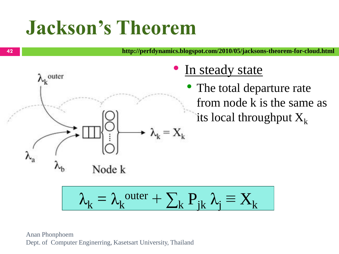**http://perfdynamics.blogspot.com/2010/05/jacksons-theorem-for-cloud.html**

- In steady state
	- The total departure rate from node k is the same as its local throughput  $X_k$

$$
\lambda_k = \lambda_k^{\text{outer}} + \sum_k P_{jk} \lambda_j \equiv X_k
$$

 $\lambda_k = X_k$ 

Node k

 $\lambda_k^{\phantom i}$ outer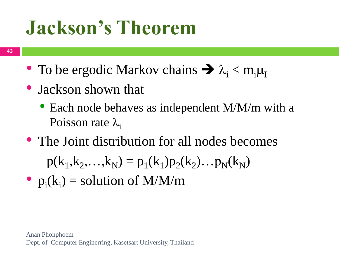- To be ergodic Markov chains  $\rightarrow \lambda_i$  < m<sub>i</sub> $\mu_{\rm I}$
- Jackson shown that
	- Each node behaves as independent M/M/m with a Poisson rate  $\lambda_i$
- The Joint distribution for all nodes becomes

 $p(k_1, k_2,...,k_N) = p_1(k_1)p_2(k_2)...p_N(k_N)$ 

•  $p_i(k_i) =$  solution of M/M/m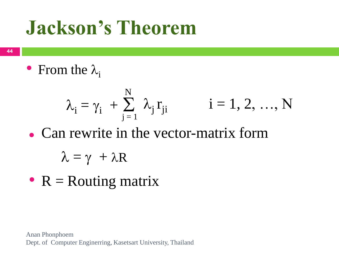**44**

• From the  $\lambda_i$ 

$$
\lambda_i = \gamma_i + \sum_{j=1}^N \lambda_j r_{ji} \qquad i = 1, 2, ..., N
$$

• Can rewrite in the vector-matrix form

$$
\lambda = \gamma + \lambda R
$$

•  $R =$  Routing matrix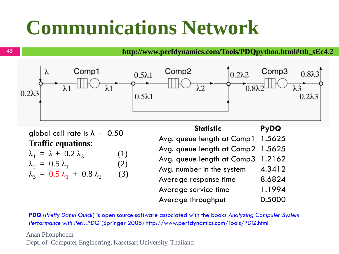## **Communications Network**

**http://www.perfdynamics.com/Tools/PDQpython.html#tth\_sEc4.2**



global call rate is  $\lambda = 0.50$ **Traffic equations**:

| $\lambda_1 = \lambda + 0.2 \lambda_3$       | (1) |
|---------------------------------------------|-----|
| $\lambda_2 = 0.5 \lambda_1$                 | (2) |
| $\lambda_3 = 0.5 \lambda_1 + 0.8 \lambda_2$ | (3) |

| <b>Statistic</b>           | <b>PyDQ</b> |
|----------------------------|-------------|
| Avg. queue length at Comp1 | 1.5625      |
| Avg. queue length at Comp2 | 1.5625      |
| Avg. queue length at Comp3 | 1.2162      |
| Avg. number in the system  | 4.3412      |
| Average response time      | 8.6824      |
| Average service time       | 1.1994      |
| Average throughput         | 0.5000      |

**PDQ** (*Pretty Damn Quick*) is open source software associated with the books *Analyzing Computer System Performance with Perl::PDQ* (Springer 2005) http://www.perfdynamics.com/Tools/PDQ.html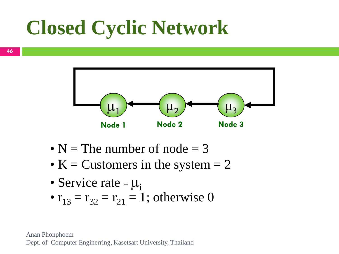## **Closed Cyclic Network**



- $N =$  The number of node = 3
- K = Customers in the system  $= 2$
- Service rate  $= \mu_i$
- $r_{13} = r_{32} = r_{21} = 1$ ; otherwise 0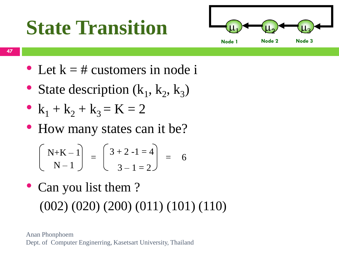## **State Transition**



- Let  $k = #$  customers in node i
- State description  $(k_1, k_2, k_3)$
- $k_1 + k_2 + k_3 = K = 2$
- How many states can it be?

$$
\begin{bmatrix} N+K-1 \ N-1 \end{bmatrix} = \begin{bmatrix} 3+2-1=4 \ 3-1=2 \end{bmatrix} = 6
$$

• Can you list them? (002) (020) (200) (011) (101) (110)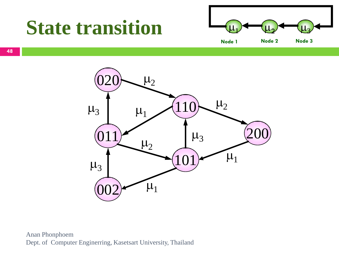#### **State transition**

![](_page_47_Figure_1.jpeg)

![](_page_47_Figure_2.jpeg)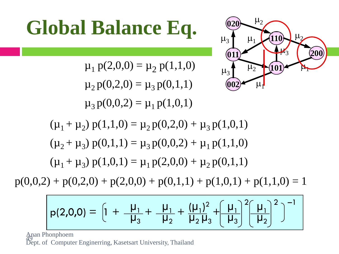# Global Balance Eq.

$$
\mu_1 p(2,0,0) = \mu_2 p(1,1,0)
$$

$$
\mu_2 p(0,2,0) = \mu_3 p(0,1,1)
$$

$$
\mu_3 p(0,0,2) = \mu_1 p(1,0,1)
$$

![](_page_48_Picture_2.jpeg)

 $(\mu_1 + \mu_2)$   $p(1,1,0) = \mu_2 p(0,2,0) + \mu_3 p(1,0,1)$  $(\mu_2 + \mu_3)$   $p(0,1,1) = \mu_3 p(0,0,2) + \mu_1 p(1,1,0)$  $(\mu_1 + \mu_3) p(1,0,1) = \mu_1 p(2,0,0) + \mu_2 p(0,1,1)$ 

 $p(0,0,2) + p(0,2,0) + p(2,0,0) + p(0,1,1) + p(1,0,1) + p(1,1,0) = 1$ 

$$
p(2,0,0) = \left[1 + \frac{\mu_1}{\mu_3} + \frac{\mu_1}{\mu_2} + \frac{(\mu_1)^2}{\mu_2\mu_3} + \left(\frac{\mu_1}{\mu_3}\right)^2 \left(\frac{\mu_1}{\mu_2}\right)^2\right]^{-1}
$$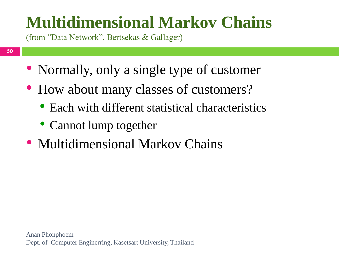#### **Multidimensional Markov Chains**

(from "Data Network", Bertsekas & Gallager)

- Normally, only a single type of customer
- How about many classes of customers?
	- Each with different statistical characteristics
	- Cannot lump together
- Multidimensional Markov Chains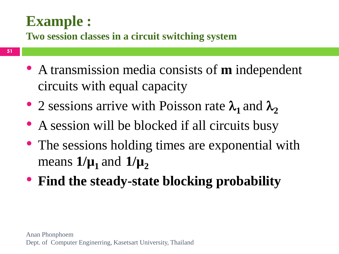#### **Example :**

**Two session classes in a circuit switching system**

- A transmission media consists of **m** independent circuits with equal capacity
- 2 sessions arrive with Poisson rate  $\lambda_1$  and  $\lambda_2$
- A session will be blocked if all circuits busy
- The sessions holding times are exponential with means  $1/\mu_1$  and  $1/\mu_2$
- **Find the steady-state blocking probability**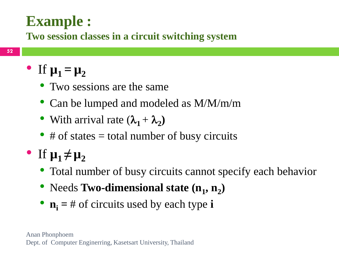#### **Example :**

**Two session classes in a circuit switching system**

#### • If  $\mu_1 = \mu_2$

- Two sessions are the same
- Can be lumped and modeled as M/M/m/m
- With arrival rate  $(\lambda_1 + \lambda_2)$
- # of states  $=$  total number of busy circuits
- $\bullet$  If  $\mu_1 \neq \mu_2$ 
	- Total number of busy circuits cannot specify each behavior
	- Needs Two-dimensional state  $(n_1, n_2)$
	- $n_i = #$  of circuits used by each type **i**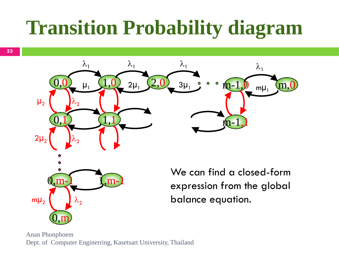## **Transition Probability diagram**

![](_page_52_Picture_1.jpeg)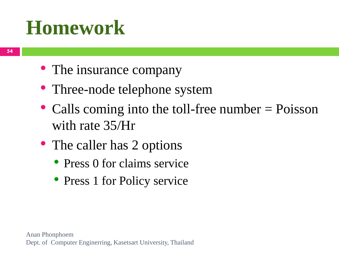- The insurance company
- Three-node telephone system
- Calls coming into the toll-free number = Poisson with rate 35/Hr
- The caller has 2 options
	- Press 0 for claims service
	- Press 1 for Policy service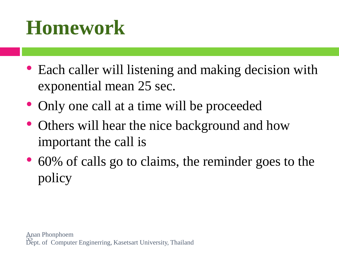- Each caller will listening and making decision with exponential mean 25 sec.
- Only one call at a time will be proceeded
- Others will hear the nice background and how important the call is
- 60% of calls go to claims, the reminder goes to the policy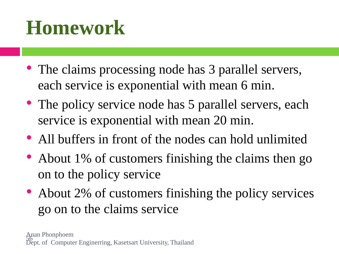- The claims processing node has 3 parallel servers, each service is exponential with mean 6 min.
- The policy service node has 5 parallel servers, each service is exponential with mean 20 min.
- All buffers in front of the nodes can hold unlimited
- About 1% of customers finishing the claims then go on to the policy service
- About 2% of customers finishing the policy services go on to the claims service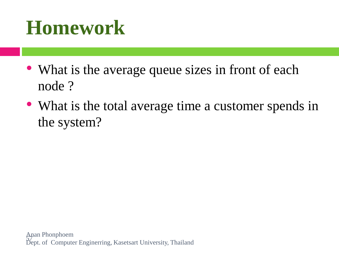- What is the average queue sizes in front of each node ?
- What is the total average time a customer spends in the system?